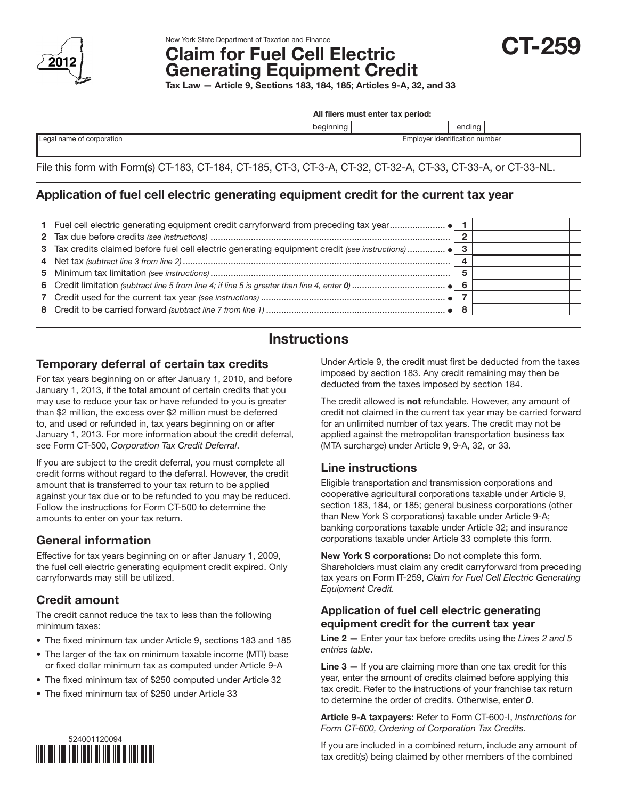

# New York State Department of Taxation and Finance<br>Claim for Fuel Cell Electric **CT-259** Generating Equipment Credit

Tax Law — Article 9, Sections 183, 184, 185; Articles 9-A, 32, and 33

All filers must enter tax period:

beginning ending

|  | Legal name of corporation |
|--|---------------------------|

Employer identification number

File this form with Form(s) CT-183, CT-184, CT-185, CT-3, CT-3-A, CT-32, CT-32-A, CT-33, CT-33-A, or CT-33-NL.

## Application of fuel cell electric generating equipment credit for the current tax year

|  | - 8 |  |
|--|-----|--|

# **Instructions**

### Temporary deferral of certain tax credits

For tax years beginning on or after January 1, 2010, and before January 1, 2013, if the total amount of certain credits that you may use to reduce your tax or have refunded to you is greater than \$2 million, the excess over \$2 million must be deferred to, and used or refunded in, tax years beginning on or after January 1, 2013. For more information about the credit deferral, see Form CT-500, *Corporation Tax Credit Deferral*.

If you are subject to the credit deferral, you must complete all credit forms without regard to the deferral. However, the credit amount that is transferred to your tax return to be applied against your tax due or to be refunded to you may be reduced. Follow the instructions for Form CT-500 to determine the amounts to enter on your tax return.

# General information

Effective for tax years beginning on or after January 1, 2009, the fuel cell electric generating equipment credit expired. Only carryforwards may still be utilized.

### Credit amount

The credit cannot reduce the tax to less than the following minimum taxes:

- The fixed minimum tax under Article 9, sections 183 and 185
- The larger of the tax on minimum taxable income (MTI) base or fixed dollar minimum tax as computed under Article 9-A
- The fixed minimum tax of \$250 computed under Article 32
- The fixed minimum tax of \$250 under Article 33

Under Article 9, the credit must first be deducted from the taxes imposed by section 183. Any credit remaining may then be deducted from the taxes imposed by section 184.

The credit allowed is **not** refundable. However, any amount of credit not claimed in the current tax year may be carried forward for an unlimited number of tax years. The credit may not be applied against the metropolitan transportation business tax (MTA surcharge) under Article 9, 9-A, 32, or 33.

### Line instructions

Eligible transportation and transmission corporations and cooperative agricultural corporations taxable under Article 9, section 183, 184, or 185; general business corporations (other than New York S corporations) taxable under Article 9-A; banking corporations taxable under Article 32; and insurance corporations taxable under Article 33 complete this form.

New York S corporations: Do not complete this form. Shareholders must claim any credit carryforward from preceding tax years on Form IT-259, *Claim for Fuel Cell Electric Generating Equipment Credit.*

#### Application of fuel cell electric generating equipment credit for the current tax year

Line 2 — Enter your tax before credits using the *Lines 2 and 5 entries table*.

Line 3 – If you are claiming more than one tax credit for this year, enter the amount of credits claimed before applying this tax credit. Refer to the instructions of your franchise tax return to determine the order of credits. Otherwise, enter *0*.

Article 9-A taxpayers: Refer to Form CT-600-I, *Instructions for Form CT-600, Ordering of Corporation Tax Credits.*



If you are included in a combined return, include any amount of tax credit(s) being claimed by other members of the combined